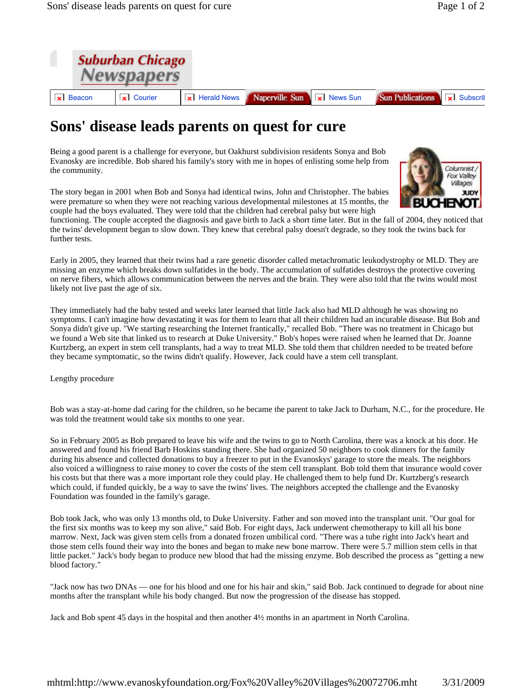

## **Sons' disease leads parents on quest for cure**

Being a good parent is a challenge for everyone, but Oakhurst subdivision residents Sonya and Bob Evanosky are incredible. Bob shared his family's story with me in hopes of enlisting some help from the community.

The story began in 2001 when Bob and Sonya had identical twins, John and Christopher. The babies were premature so when they were not reaching various developmental milestones at 15 months, the couple had the boys evaluated. They were told that the children had cerebral palsy but were high



Early in 2005, they learned that their twins had a rare genetic disorder called metachromatic leukodystrophy or MLD. They are missing an enzyme which breaks down sulfatides in the body. The accumulation of sulfatides destroys the protective covering on nerve fibers, which allows communication between the nerves and the brain. They were also told that the twins would most likely not live past the age of six.

They immediately had the baby tested and weeks later learned that little Jack also had MLD although he was showing no symptoms. I can't imagine how devastating it was for them to learn that all their children had an incurable disease. But Bob and Sonya didn't give up. "We starting researching the Internet frantically," recalled Bob. "There was no treatment in Chicago but we found a Web site that linked us to research at Duke University." Bob's hopes were raised when he learned that Dr. Joanne Kurtzberg, an expert in stem cell transplants, had a way to treat MLD. She told them that children needed to be treated before they became symptomatic, so the twins didn't qualify. However, Jack could have a stem cell transplant.

Lengthy procedure

Bob was a stay-at-home dad caring for the children, so he became the parent to take Jack to Durham, N.C., for the procedure. He was told the treatment would take six months to one year.

So in February 2005 as Bob prepared to leave his wife and the twins to go to North Carolina, there was a knock at his door. He answered and found his friend Barb Hoskins standing there. She had organized 50 neighbors to cook dinners for the family during his absence and collected donations to buy a freezer to put in the Evanoskys' garage to store the meals. The neighbors also voiced a willingness to raise money to cover the costs of the stem cell transplant. Bob told them that insurance would cover his costs but that there was a more important role they could play. He challenged them to help fund Dr. Kurtzberg's research which could, if funded quickly, be a way to save the twins' lives. The neighbors accepted the challenge and the Evanosky Foundation was founded in the family's garage.

Bob took Jack, who was only 13 months old, to Duke University. Father and son moved into the transplant unit. "Our goal for the first six months was to keep my son alive," said Bob. For eight days, Jack underwent chemotherapy to kill all his bone marrow. Next, Jack was given stem cells from a donated frozen umbilical cord. "There was a tube right into Jack's heart and those stem cells found their way into the bones and began to make new bone marrow. There were 5.7 million stem cells in that little packet." Jack's body began to produce new blood that had the missing enzyme. Bob described the process as "getting a new blood factory."

"Jack now has two DNAs — one for his blood and one for his hair and skin," said Bob. Jack continued to degrade for about nine months after the transplant while his body changed. But now the progression of the disease has stopped.

Jack and Bob spent 45 days in the hospital and then another 4½ months in an apartment in North Carolina.